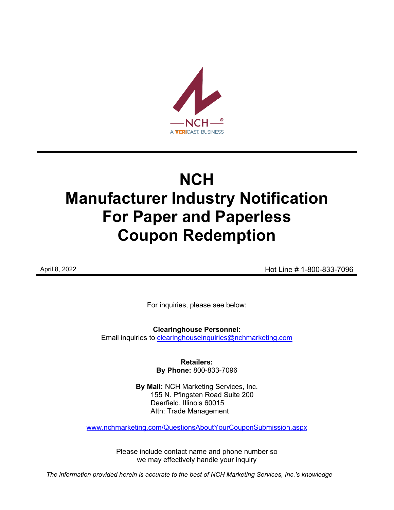

# **NCH Manufacturer Industry Notification For Paper and Paperless Coupon Redemption**

April 8, 2022 **April 8, 2022 Hot Line # 1-800-833-7096** 

For inquiries, please see below:

**Clearinghouse Personnel:**  Email inquiries to [clearinghouseinquiries@nchmarketing.com](mailto:clearinghouseinquiries@nchmarketing.com)

> **Retailers: By Phone:** 800-833-7096

**By Mail:** NCH Marketing Services, Inc. 155 N. Pfingsten Road Suite 200 Deerfield, Illinois 60015 Attn: Trade Management

[www.nchmarketing.com/QuestionsAboutYourCouponSubmission.aspx](http://www.nchmarketing.com/QuestionsAboutYourCouponSubmission.aspx)

Please include contact name and phone number so we may effectively handle your inquiry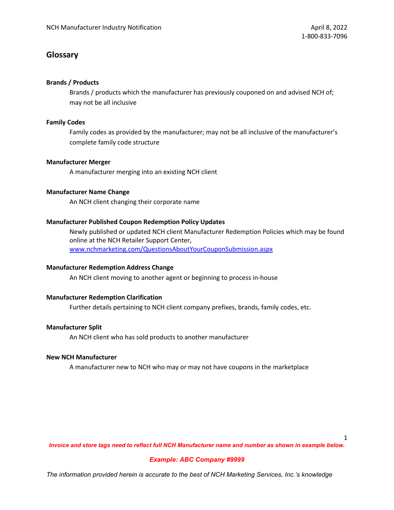# **Glossary**

## **Brands / Products**

Brands / products which the manufacturer has previously couponed on and advised NCH of; may not be all inclusive

## **Family Codes**

Family codes as provided by the manufacturer; may not be all inclusive of the manufacturer's complete family code structure

## **Manufacturer Merger**

A manufacturer merging into an existing NCH client

#### **Manufacturer Name Change**

An NCH client changing their corporate name

## **Manufacturer Published Coupon Redemption Policy Updates**

Newly published or updated NCH client Manufacturer Redemption Policies which may be found online at the NCH Retailer Support Center, [www.nchmarketing.com/QuestionsAboutYourCouponSubmission.aspx](http://www.nchmarketing.com/QuestionsAboutYourCouponSubmission.aspx)

## **Manufacturer Redemption Address Change**

An NCH client moving to another agent or beginning to process in-house

## **Manufacturer Redemption Clarification**

Further details pertaining to NCH client company prefixes, brands, family codes, etc.

## **Manufacturer Split**

An NCH client who has sold products to another manufacturer

## **New NCH Manufacturer**

A manufacturer new to NCH who may or may not have coupons in the marketplace

1

*Invoice and store tags need to reflect full NCH Manufacturer name and number as shown in example below.*

## *Example: ABC Company #9999*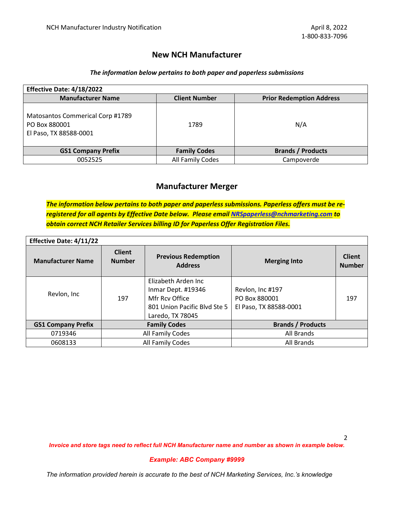# **New NCH Manufacturer**

#### *The information below pertains to both paper and paperless submissions*

| Effective Date: 4/18/2022                                                   |                      |                                 |  |
|-----------------------------------------------------------------------------|----------------------|---------------------------------|--|
| <b>Manufacturer Name</b>                                                    | <b>Client Number</b> | <b>Prior Redemption Address</b> |  |
| Matosantos Commerical Corp #1789<br>PO Box 880001<br>El Paso, TX 88588-0001 | 1789                 | N/A                             |  |
| <b>GS1 Company Prefix</b>                                                   | <b>Family Codes</b>  | <b>Brands / Products</b>        |  |
| 0052525                                                                     | All Family Codes     | Campoverde                      |  |

# **Manufacturer Merger**

*The information below pertains to both paper and paperless submissions. Paperless offers must be reregistered for all agents by Effective Date below. Please email [NRSpaperless@nchmarketing.com](mailto:NRSpaperless@nchmarketing.com) to obtain correct NCH Retailer Services billing ID for Paperless Offer Registration Files.*

| <b>Effective Date: 4/11/22</b> |                                |                                                                                                                 |                                                             |                                |  |
|--------------------------------|--------------------------------|-----------------------------------------------------------------------------------------------------------------|-------------------------------------------------------------|--------------------------------|--|
| <b>Manufacturer Name</b>       | <b>Client</b><br><b>Number</b> | <b>Previous Redemption</b><br><b>Address</b>                                                                    | <b>Merging Into</b>                                         | <b>Client</b><br><b>Number</b> |  |
| Revlon, Inc                    | 197                            | Elizabeth Arden Inc<br>Inmar Dept. #19346<br>Mfr Rcy Office<br>801 Union Pacific Blyd Ste 5<br>Laredo, TX 78045 | Revlon, Inc #197<br>PO Box 880001<br>El Paso, TX 88588-0001 | 197                            |  |
| <b>GS1 Company Prefix</b>      | <b>Family Codes</b>            |                                                                                                                 | <b>Brands / Products</b>                                    |                                |  |
| 0719346                        | All Family Codes               |                                                                                                                 | All Brands                                                  |                                |  |
| 0608133                        | All Family Codes               |                                                                                                                 | All Brands                                                  |                                |  |

*Invoice and store tags need to reflect full NCH Manufacturer name and number as shown in example below.*

#### *Example: ABC Company #9999*

*The information provided herein is accurate to the best of NCH Marketing Services, Inc.'s knowledge*

2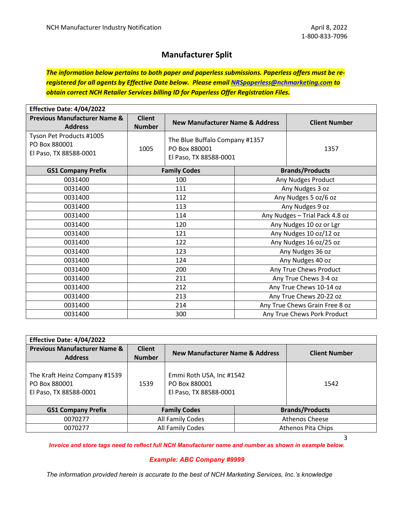# **Manufacturer Split**

*The information below pertains to both paper and paperless submissions. Paperless offers must be reregistered for all agents by Effective Date below. Please email [NRSpaperless@nchmarketing.com](mailto:NRSpaperless@nchmarketing.com) to obtain correct NCH Retailer Services billing ID for Paperless Offer Registration Files.*

| Effective Date: 4/04/2022                                           |                                |                                                                           |                                |                                |  |
|---------------------------------------------------------------------|--------------------------------|---------------------------------------------------------------------------|--------------------------------|--------------------------------|--|
| <b>Previous Manufacturer Name &amp;</b><br><b>Address</b>           | <b>Client</b><br><b>Number</b> | <b>New Manufacturer Name &amp; Address</b>                                |                                | <b>Client Number</b>           |  |
| Tyson Pet Products #1005<br>PO Box 880001<br>El Paso, TX 88588-0001 | 1005                           | The Blue Buffalo Company #1357<br>PO Box 880001<br>El Paso, TX 88588-0001 |                                | 1357                           |  |
| <b>GS1 Company Prefix</b>                                           |                                | <b>Family Codes</b>                                                       |                                | <b>Brands/Products</b>         |  |
| 0031400                                                             | 100                            |                                                                           |                                | Any Nudges Product             |  |
| 0031400                                                             | 111                            |                                                                           | Any Nudges 3 oz                |                                |  |
| 0031400                                                             | 112                            |                                                                           |                                | Any Nudges 5 oz/6 oz           |  |
| 0031400                                                             | 113                            |                                                                           | Any Nudges 9 oz                |                                |  |
| 0031400                                                             | 114                            |                                                                           | Any Nudges - Trial Pack 4.8 oz |                                |  |
| 0031400                                                             | 120                            |                                                                           |                                | Any Nudges 10 oz or Lgr        |  |
| 0031400                                                             | 121                            |                                                                           | Any Nudges 10 oz/12 oz         |                                |  |
| 0031400                                                             | 122                            |                                                                           |                                | Any Nudges 16 oz/25 oz         |  |
| 0031400                                                             |                                | 123                                                                       |                                | Any Nudges 36 oz               |  |
| 0031400                                                             |                                | 124                                                                       |                                | Any Nudges 40 oz               |  |
| 0031400                                                             | 200                            |                                                                           |                                | Any True Chews Product         |  |
| 0031400                                                             | 211                            |                                                                           |                                | Any True Chews 3-4 oz          |  |
| 0031400                                                             | 212                            |                                                                           |                                | Any True Chews 10-14 oz        |  |
| 0031400                                                             | 213                            |                                                                           | Any True Chews 20-22 oz        |                                |  |
| 0031400                                                             | 214                            |                                                                           |                                | Any True Chews Grain Free 8 oz |  |
| 0031400                                                             | 300                            |                                                                           |                                | Any True Chews Pork Product    |  |

| Effective Date: 4/04/2022                                                |                                |                                                                     |                        |                      |
|--------------------------------------------------------------------------|--------------------------------|---------------------------------------------------------------------|------------------------|----------------------|
| <b>Previous Manufacturer Name &amp;</b><br><b>Address</b>                | <b>Client</b><br><b>Number</b> | <b>New Manufacturer Name &amp; Address</b>                          |                        | <b>Client Number</b> |
| The Kraft Heinz Company #1539<br>PO Box 880001<br>El Paso, TX 88588-0001 | 1539                           | Emmi Roth USA, Inc #1542<br>PO Box 880001<br>El Paso, TX 88588-0001 |                        | 1542                 |
| <b>GS1 Company Prefix</b>                                                | <b>Family Codes</b>            |                                                                     | <b>Brands/Products</b> |                      |
| 0070277                                                                  | All Family Codes               |                                                                     |                        | Athenos Cheese       |
| 0070277                                                                  | All Family Codes               |                                                                     |                        | Athenos Pita Chips   |

3

*Invoice and store tags need to reflect full NCH Manufacturer name and number as shown in example below.*

#### *Example: ABC Company #9999*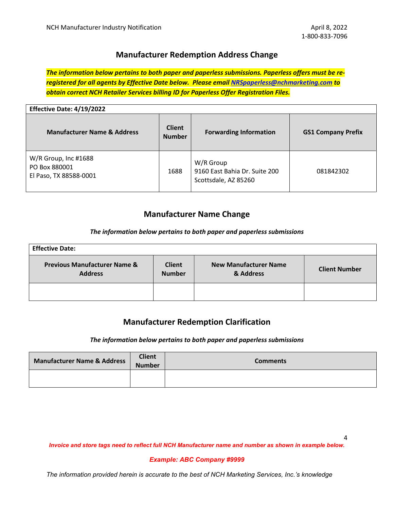# **Manufacturer Redemption Address Change**

*The information below pertains to both paper and paperless submissions. Paperless offers must be reregistered for all agents by Effective Date below. Please email [NRSpaperless@nchmarketing.com](mailto:NRSpaperless@nchmarketing.com) to obtain correct NCH Retailer Services billing ID for Paperless Offer Registration Files.*

| Effective Date: 4/19/2022                                       |                                |                                                                    |                           |
|-----------------------------------------------------------------|--------------------------------|--------------------------------------------------------------------|---------------------------|
| <b>Manufacturer Name &amp; Address</b>                          | <b>Client</b><br><b>Number</b> | <b>Forwarding Information</b>                                      | <b>GS1 Company Prefix</b> |
| W/R Group, Inc #1688<br>PO Box 880001<br>El Paso, TX 88588-0001 | 1688                           | W/R Group<br>9160 East Bahia Dr. Suite 200<br>Scottsdale, AZ 85260 | 081842302                 |

# **Manufacturer Name Change**

#### *The information below pertains to both paper and paperless submissions*

| <b>Effective Date:</b>                                    |                                |                                           |                      |
|-----------------------------------------------------------|--------------------------------|-------------------------------------------|----------------------|
| <b>Previous Manufacturer Name &amp;</b><br><b>Address</b> | <b>Client</b><br><b>Number</b> | <b>New Manufacturer Name</b><br>& Address | <b>Client Number</b> |
|                                                           |                                |                                           |                      |

# **Manufacturer Redemption Clarification**

#### *The information below pertains to both paper and paperless submissions*

| Manufacturer Name & Address | <b>Client</b><br><b>Number</b> | <b>Comments</b> |
|-----------------------------|--------------------------------|-----------------|
|                             |                                |                 |

*Invoice and store tags need to reflect full NCH Manufacturer name and number as shown in example below.*

#### *Example: ABC Company #9999*

*The information provided herein is accurate to the best of NCH Marketing Services, Inc.'s knowledge*

4